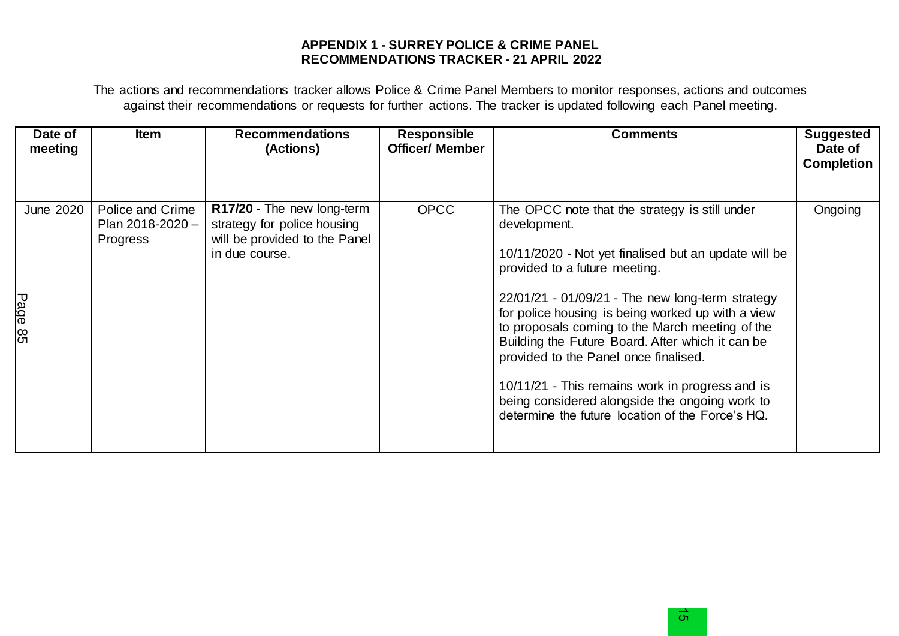## **APPENDIX 1 - SURREY POLICE & CRIME PANEL RECOMMENDATIONS TRACKER - 21 APRIL 2022**

The actions and recommendations tracker allows Police & Crime Panel Members to monitor responses, actions and outcomes against their recommendations or requests for further actions. The tracker is updated following each Panel meeting.

| Date of<br>meeting          | <b>Item</b>                                      | <b>Recommendations</b><br>(Actions)                                                                          | <b>Responsible</b><br><b>Officer/ Member</b> | <b>Comments</b>                                                                                                                                                                                                                                                                                                                                                                                                                                                                                                                                                             | <b>Suggested</b><br>Date of<br><b>Completion</b> |
|-----------------------------|--------------------------------------------------|--------------------------------------------------------------------------------------------------------------|----------------------------------------------|-----------------------------------------------------------------------------------------------------------------------------------------------------------------------------------------------------------------------------------------------------------------------------------------------------------------------------------------------------------------------------------------------------------------------------------------------------------------------------------------------------------------------------------------------------------------------------|--------------------------------------------------|
| <b>June 2020</b><br>Page 85 | Police and Crime<br>Plan 2018-2020 -<br>Progress | R17/20 - The new long-term<br>strategy for police housing<br>will be provided to the Panel<br>in due course. | <b>OPCC</b>                                  | The OPCC note that the strategy is still under<br>development.<br>10/11/2020 - Not yet finalised but an update will be<br>provided to a future meeting.<br>$22/01/21 - 01/09/21$ - The new long-term strategy<br>for police housing is being worked up with a view<br>to proposals coming to the March meeting of the<br>Building the Future Board. After which it can be<br>provided to the Panel once finalised.<br>10/11/21 - This remains work in progress and is<br>being considered alongside the ongoing work to<br>determine the future location of the Force's HQ. | Ongoing                                          |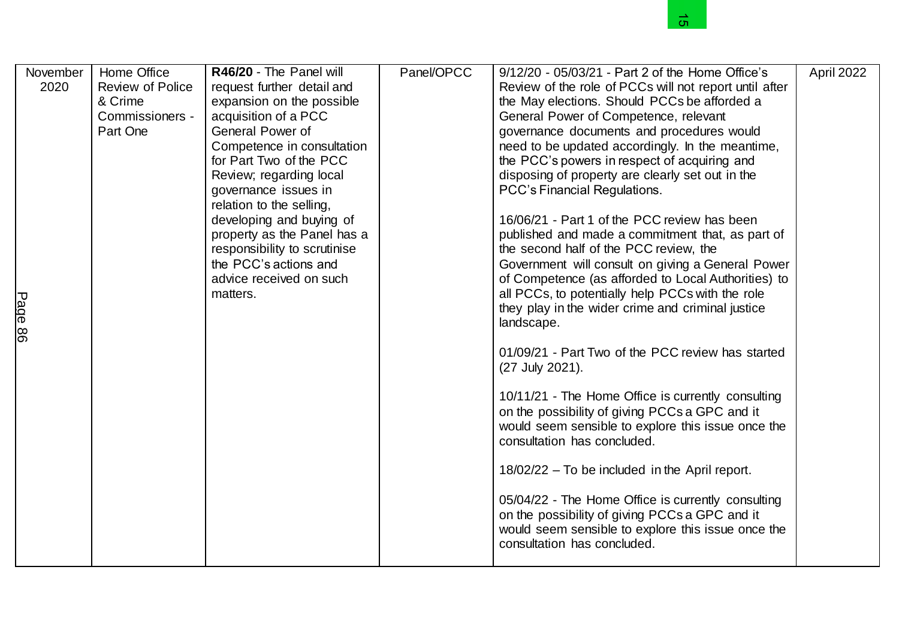|                                |                                                                                  |                                                                                                                                                                                                                                                                                                                                                                                                                                   |            | <u>ហ</u>                                                                                                                                                                                                                                                                                                                                                                                                                                                                                                                                                                                                                                                                                                                                                                                                                                                                                                                                                                                                                                                                                                                                                                                                                                                                                                                                      |            |
|--------------------------------|----------------------------------------------------------------------------------|-----------------------------------------------------------------------------------------------------------------------------------------------------------------------------------------------------------------------------------------------------------------------------------------------------------------------------------------------------------------------------------------------------------------------------------|------------|-----------------------------------------------------------------------------------------------------------------------------------------------------------------------------------------------------------------------------------------------------------------------------------------------------------------------------------------------------------------------------------------------------------------------------------------------------------------------------------------------------------------------------------------------------------------------------------------------------------------------------------------------------------------------------------------------------------------------------------------------------------------------------------------------------------------------------------------------------------------------------------------------------------------------------------------------------------------------------------------------------------------------------------------------------------------------------------------------------------------------------------------------------------------------------------------------------------------------------------------------------------------------------------------------------------------------------------------------|------------|
| November<br>2020<br>Page<br>86 | Home Office<br><b>Review of Police</b><br>& Crime<br>Commissioners -<br>Part One | R46/20 - The Panel will<br>request further detail and<br>expansion on the possible<br>acquisition of a PCC<br>General Power of<br>Competence in consultation<br>for Part Two of the PCC<br>Review; regarding local<br>governance issues in<br>relation to the selling,<br>developing and buying of<br>property as the Panel has a<br>responsibility to scrutinise<br>the PCC's actions and<br>advice received on such<br>matters. | Panel/OPCC | 9/12/20 - 05/03/21 - Part 2 of the Home Office's<br>Review of the role of PCCs will not report until after<br>the May elections. Should PCCs be afforded a<br>General Power of Competence, relevant<br>governance documents and procedures would<br>need to be updated accordingly. In the meantime,<br>the PCC's powers in respect of acquiring and<br>disposing of property are clearly set out in the<br>PCC's Financial Regulations.<br>16/06/21 - Part 1 of the PCC review has been<br>published and made a commitment that, as part of<br>the second half of the PCC review, the<br>Government will consult on giving a General Power<br>of Competence (as afforded to Local Authorities) to<br>all PCCs, to potentially help PCCs with the role<br>they play in the wider crime and criminal justice<br>landscape.<br>01/09/21 - Part Two of the PCC review has started<br>(27 July 2021).<br>10/11/21 - The Home Office is currently consulting<br>on the possibility of giving PCCs a GPC and it<br>would seem sensible to explore this issue once the<br>consultation has concluded.<br>18/02/22 - To be included in the April report.<br>05/04/22 - The Home Office is currently consulting<br>on the possibility of giving PCCs a GPC and it<br>would seem sensible to explore this issue once the<br>consultation has concluded. | April 2022 |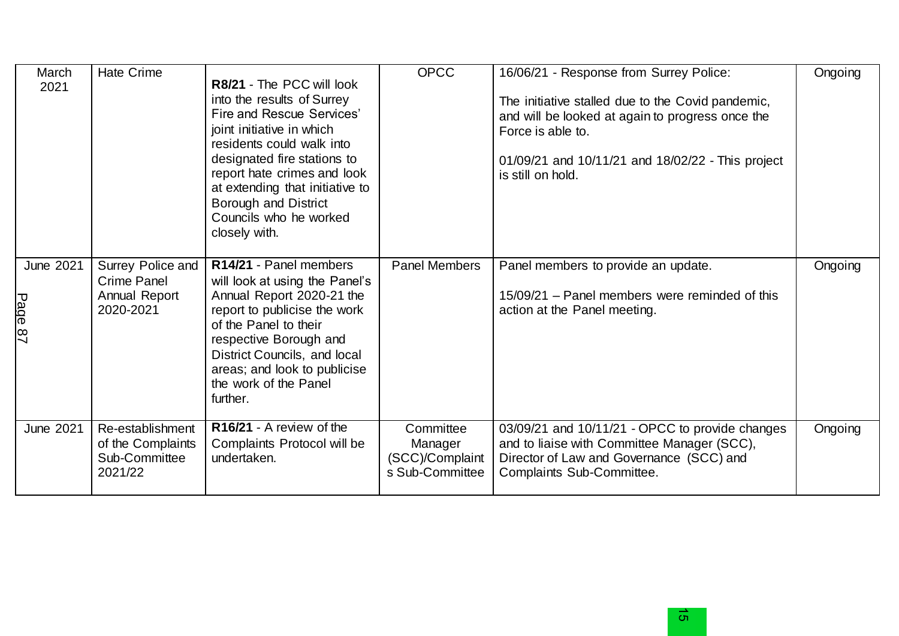| March<br>2021                             | <b>Hate Crime</b>                                                 | R8/21 - The PCC will look<br>into the results of Surrey<br>Fire and Rescue Services'<br>joint initiative in which<br>residents could walk into<br>designated fire stations to<br>report hate crimes and look<br>at extending that initiative to<br><b>Borough and District</b><br>Councils who he worked<br>closely with. | <b>OPCC</b>                                                | 16/06/21 - Response from Surrey Police:<br>The initiative stalled due to the Covid pandemic,<br>and will be looked at again to progress once the<br>Force is able to.<br>01/09/21 and 10/11/21 and 18/02/22 - This project<br>is still on hold. | Ongoing |
|-------------------------------------------|-------------------------------------------------------------------|---------------------------------------------------------------------------------------------------------------------------------------------------------------------------------------------------------------------------------------------------------------------------------------------------------------------------|------------------------------------------------------------|-------------------------------------------------------------------------------------------------------------------------------------------------------------------------------------------------------------------------------------------------|---------|
| <b>June 2021</b><br>Page<br>$\frac{8}{7}$ | Surrey Police and<br>Crime Panel<br>Annual Report<br>2020-2021    | R14/21 - Panel members<br>will look at using the Panel's<br>Annual Report 2020-21 the<br>report to publicise the work<br>of the Panel to their<br>respective Borough and<br>District Councils, and local<br>areas; and look to publicise<br>the work of the Panel<br>further.                                             | Panel Members                                              | Panel members to provide an update.<br>15/09/21 – Panel members were reminded of this<br>action at the Panel meeting.                                                                                                                           | Ongoing |
| <b>June 2021</b>                          | Re-establishment<br>of the Complaints<br>Sub-Committee<br>2021/22 | R16/21 - A review of the<br>Complaints Protocol will be<br>undertaken.                                                                                                                                                                                                                                                    | Committee<br>Manager<br>(SCC)/Complaint<br>s Sub-Committee | 03/09/21 and 10/11/21 - OPCC to provide changes<br>and to liaise with Committee Manager (SCC),<br>Director of Law and Governance (SCC) and<br>Complaints Sub-Committee.                                                                         | Ongoing |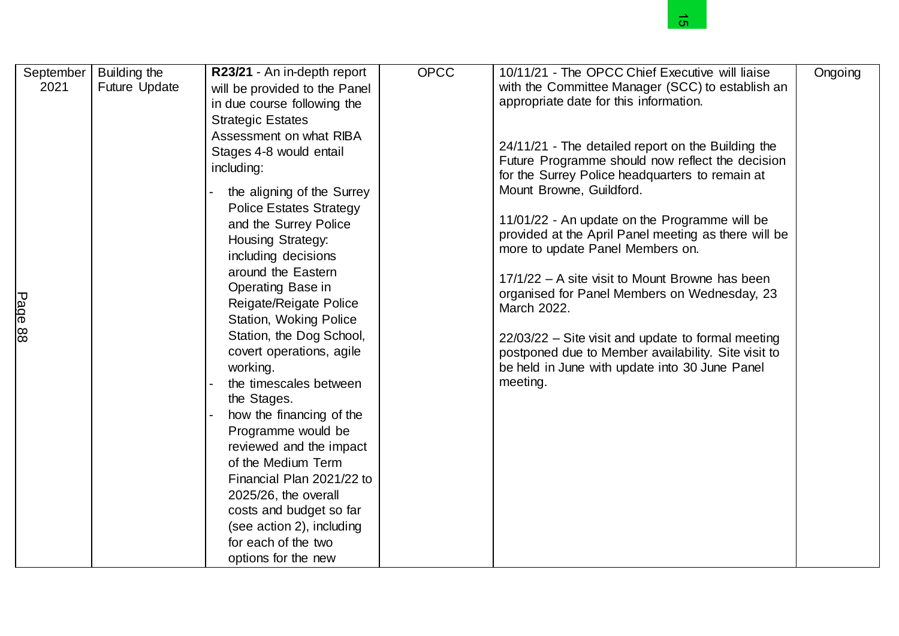|                                 |                                      |                                                                                                                                                                                                                                                                                                                                                                                                                                                                                                                                                                                                                                                                                                                                                                                                            |             | c                                                                                                                                                                                                                                                                                                                                                                                                                                                                                                                                                                                                                                                                                                                                                                                  |         |
|---------------------------------|--------------------------------------|------------------------------------------------------------------------------------------------------------------------------------------------------------------------------------------------------------------------------------------------------------------------------------------------------------------------------------------------------------------------------------------------------------------------------------------------------------------------------------------------------------------------------------------------------------------------------------------------------------------------------------------------------------------------------------------------------------------------------------------------------------------------------------------------------------|-------------|------------------------------------------------------------------------------------------------------------------------------------------------------------------------------------------------------------------------------------------------------------------------------------------------------------------------------------------------------------------------------------------------------------------------------------------------------------------------------------------------------------------------------------------------------------------------------------------------------------------------------------------------------------------------------------------------------------------------------------------------------------------------------------|---------|
| September<br>2021<br>Page<br>88 | Building the<br><b>Future Update</b> | R23/21 - An in-depth report<br>will be provided to the Panel<br>in due course following the<br><b>Strategic Estates</b><br>Assessment on what RIBA<br>Stages 4-8 would entail<br>including:<br>the aligning of the Surrey<br><b>Police Estates Strategy</b><br>and the Surrey Police<br>Housing Strategy:<br>including decisions<br>around the Eastern<br>Operating Base in<br>Reigate/Reigate Police<br>Station, Woking Police<br>Station, the Dog School,<br>covert operations, agile<br>working.<br>the timescales between<br>the Stages.<br>how the financing of the<br>Programme would be<br>reviewed and the impact<br>of the Medium Term<br>Financial Plan 2021/22 to<br>2025/26, the overall<br>costs and budget so far<br>(see action 2), including<br>for each of the two<br>options for the new | <b>OPCC</b> | 10/11/21 - The OPCC Chief Executive will liaise<br>with the Committee Manager (SCC) to establish an<br>appropriate date for this information.<br>24/11/21 - The detailed report on the Building the<br>Future Programme should now reflect the decision<br>for the Surrey Police headquarters to remain at<br>Mount Browne, Guildford.<br>11/01/22 - An update on the Programme will be<br>provided at the April Panel meeting as there will be<br>more to update Panel Members on.<br>17/1/22 - A site visit to Mount Browne has been<br>organised for Panel Members on Wednesday, 23<br>March 2022.<br>$22/03/22$ – Site visit and update to formal meeting<br>postponed due to Member availability. Site visit to<br>be held in June with update into 30 June Panel<br>meeting. | Ongoing |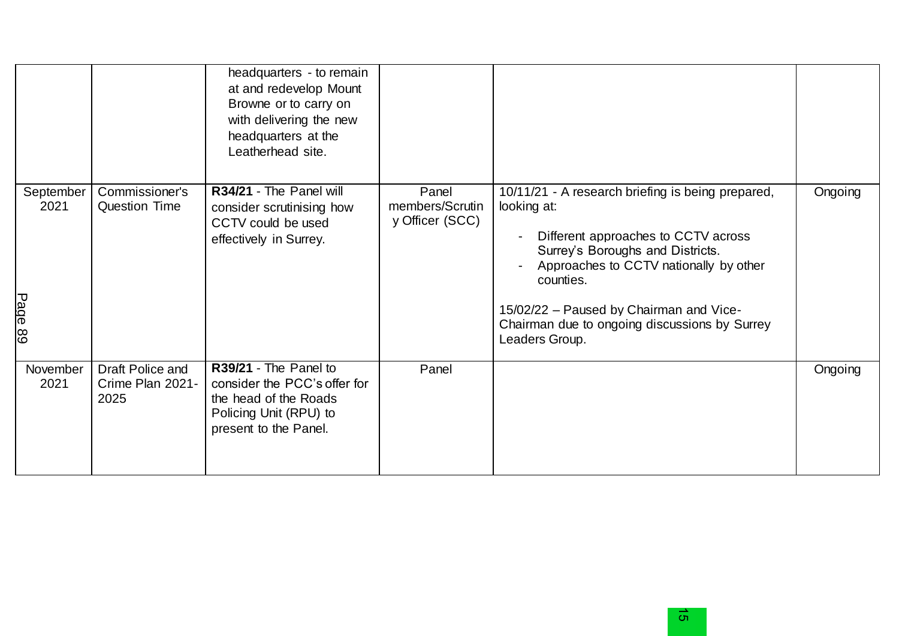|                              |                                              | headquarters - to remain<br>at and redevelop Mount<br>Browne or to carry on<br>with delivering the new<br>headquarters at the<br>Leatherhead site. |                                             |                                                                                                                                                                                                                                                                                                                  |         |
|------------------------------|----------------------------------------------|----------------------------------------------------------------------------------------------------------------------------------------------------|---------------------------------------------|------------------------------------------------------------------------------------------------------------------------------------------------------------------------------------------------------------------------------------------------------------------------------------------------------------------|---------|
| September<br>2021<br>Page 89 | Commissioner's<br><b>Question Time</b>       | R34/21 - The Panel will<br>consider scrutinising how<br>CCTV could be used<br>effectively in Surrey.                                               | Panel<br>members/Scrutin<br>y Officer (SCC) | 10/11/21 - A research briefing is being prepared,<br>looking at:<br>Different approaches to CCTV across<br>Surrey's Boroughs and Districts.<br>Approaches to CCTV nationally by other<br>counties.<br>15/02/22 - Paused by Chairman and Vice-<br>Chairman due to ongoing discussions by Surrey<br>Leaders Group. | Ongoing |
| November<br>2021             | Draft Police and<br>Crime Plan 2021-<br>2025 | R39/21 - The Panel to<br>consider the PCC's offer for<br>the head of the Roads<br>Policing Unit (RPU) to<br>present to the Panel.                  | Panel                                       |                                                                                                                                                                                                                                                                                                                  | Ongoing |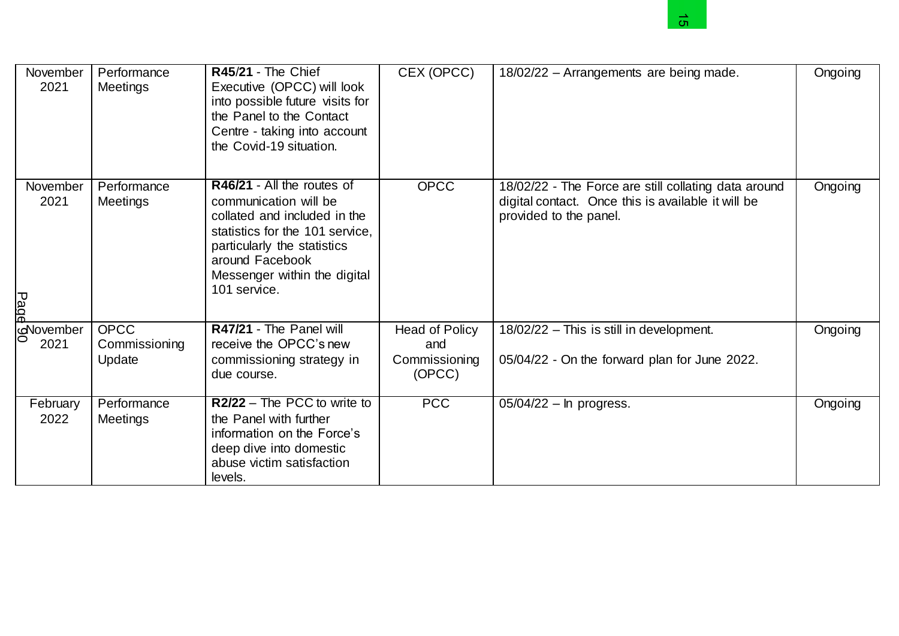

|                          |                                        |                                                                                                                                                                                                                          |                                                  | ិហា                                                                                                                                  |         |
|--------------------------|----------------------------------------|--------------------------------------------------------------------------------------------------------------------------------------------------------------------------------------------------------------------------|--------------------------------------------------|--------------------------------------------------------------------------------------------------------------------------------------|---------|
| November<br>2021         | Performance<br>Meetings                | R45/21 - The Chief<br>Executive (OPCC) will look<br>into possible future visits for<br>the Panel to the Contact<br>Centre - taking into account<br>the Covid-19 situation.                                               | CEX (OPCC)                                       | 18/02/22 - Arrangements are being made.                                                                                              | Ongoing |
| November<br>2021<br>Page | Performance<br>Meetings                | R46/21 - All the routes of<br>communication will be<br>collated and included in the<br>statistics for the 101 service,<br>particularly the statistics<br>around Facebook<br>Messenger within the digital<br>101 service. | <b>OPCC</b>                                      | 18/02/22 - The Force are still collating data around<br>digital contact. Once this is available it will be<br>provided to the panel. | Ongoing |
| November<br>2021         | <b>OPCC</b><br>Commissioning<br>Update | R47/21 - The Panel will<br>receive the OPCC's new<br>commissioning strategy in<br>due course.                                                                                                                            | Head of Policy<br>and<br>Commissioning<br>(OPCC) | 18/02/22 - This is still in development.<br>05/04/22 - On the forward plan for June 2022.                                            | Ongoing |
| February<br>2022         | Performance<br>Meetings                | R2/22 - The PCC to write to<br>the Panel with further<br>information on the Force's<br>deep dive into domestic<br>abuse victim satisfaction<br>levels.                                                                   | <b>PCC</b>                                       | 05/04/22 - In progress.                                                                                                              | Ongoing |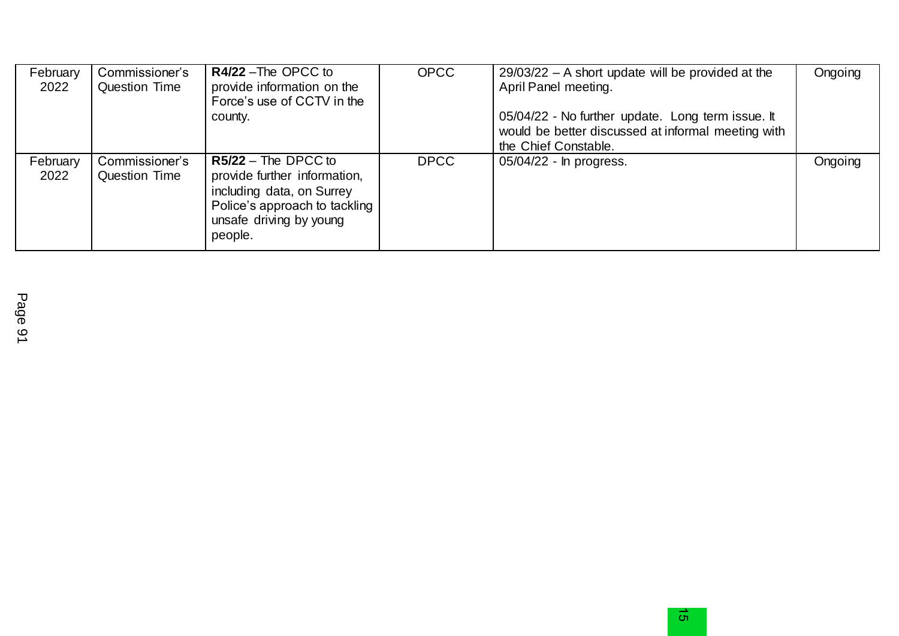| February<br>2022 | Commissioner's<br><b>Question Time</b> | R4/22 - The OPCC to<br>provide information on the<br>Force's use of CCTV in the<br>county.                                                                | <b>OPCC</b> | $29/03/22$ – A short update will be provided at the<br>April Panel meeting.<br>05/04/22 - No further update. Long term issue. It<br>would be better discussed at informal meeting with<br>the Chief Constable. | Ongoing |
|------------------|----------------------------------------|-----------------------------------------------------------------------------------------------------------------------------------------------------------|-------------|----------------------------------------------------------------------------------------------------------------------------------------------------------------------------------------------------------------|---------|
| February<br>2022 | Commissioner's<br><b>Question Time</b> | $R5/22$ – The DPCC to<br>provide further information,<br>including data, on Surrey<br>Police's approach to tackling<br>unsafe driving by young<br>people. | <b>DPCC</b> | 05/04/22 - In progress.                                                                                                                                                                                        | Ongoing |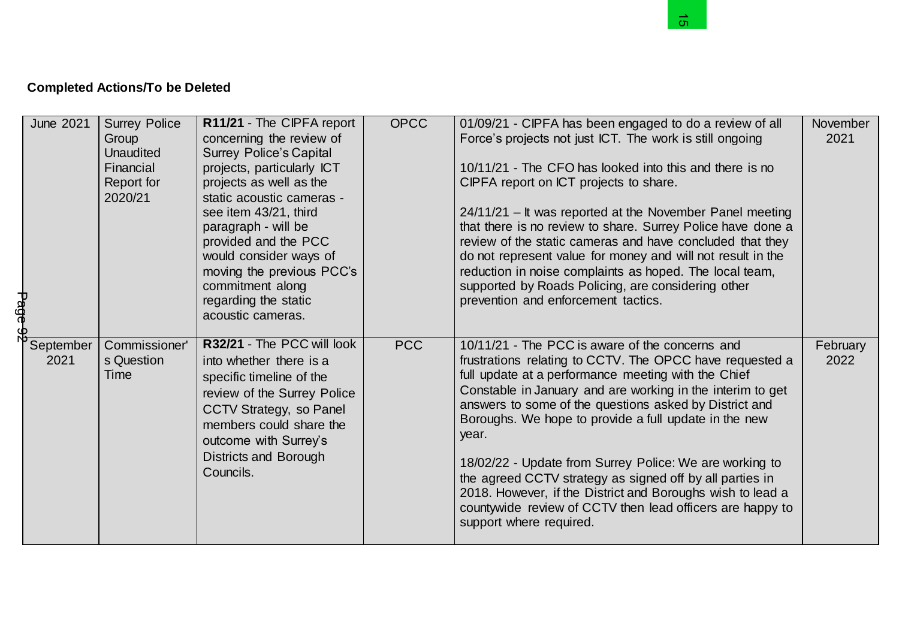## **Completed Actions/To be Deleted**

|         |                   | <b>Completed Actions/To be Deleted</b>                  |                                                                                                                                                                                                                                                      |             |                                                                                                                                                                                                                                                                                                                                                                                                                                                                                                                                                                                                                                           |                  |
|---------|-------------------|---------------------------------------------------------|------------------------------------------------------------------------------------------------------------------------------------------------------------------------------------------------------------------------------------------------------|-------------|-------------------------------------------------------------------------------------------------------------------------------------------------------------------------------------------------------------------------------------------------------------------------------------------------------------------------------------------------------------------------------------------------------------------------------------------------------------------------------------------------------------------------------------------------------------------------------------------------------------------------------------------|------------------|
|         | <b>June 2021</b>  | <b>Surrey Police</b><br>Group<br>Unaudited<br>Financial | R11/21 - The CIPFA report<br>concerning the review of<br><b>Surrey Police's Capital</b><br>projects, particularly ICT                                                                                                                                | <b>OPCC</b> | 01/09/21 - CIPFA has been engaged to do a review of all<br>Force's projects not just ICT. The work is still ongoing<br>10/11/21 - The CFO has looked into this and there is no                                                                                                                                                                                                                                                                                                                                                                                                                                                            | November<br>2021 |
| Page 92 |                   | Report for<br>2020/21                                   | projects as well as the<br>static acoustic cameras -<br>see item 43/21, third<br>paragraph - will be<br>provided and the PCC<br>would consider ways of<br>moving the previous PCC's<br>commitment along<br>regarding the static<br>acoustic cameras. |             | CIPFA report on ICT projects to share.<br>24/11/21 - It was reported at the November Panel meeting<br>that there is no review to share. Surrey Police have done a<br>review of the static cameras and have concluded that they<br>do not represent value for money and will not result in the<br>reduction in noise complaints as hoped. The local team,<br>supported by Roads Policing, are considering other<br>prevention and enforcement tactics.                                                                                                                                                                                     |                  |
|         | September<br>2021 | Commissioner'<br>s Question<br><b>Time</b>              | R32/21 - The PCC will look<br>into whether there is a<br>specific timeline of the<br>review of the Surrey Police<br>CCTV Strategy, so Panel<br>members could share the<br>outcome with Surrey's<br><b>Districts and Borough</b><br>Councils.         | <b>PCC</b>  | 10/11/21 - The PCC is aware of the concerns and<br>frustrations relating to CCTV. The OPCC have requested a<br>full update at a performance meeting with the Chief<br>Constable in January and are working in the interim to get<br>answers to some of the questions asked by District and<br>Boroughs. We hope to provide a full update in the new<br>year.<br>18/02/22 - Update from Surrey Police: We are working to<br>the agreed CCTV strategy as signed off by all parties in<br>2018. However, if the District and Boroughs wish to lead a<br>countywide review of CCTV then lead officers are happy to<br>support where required. | February<br>2022 |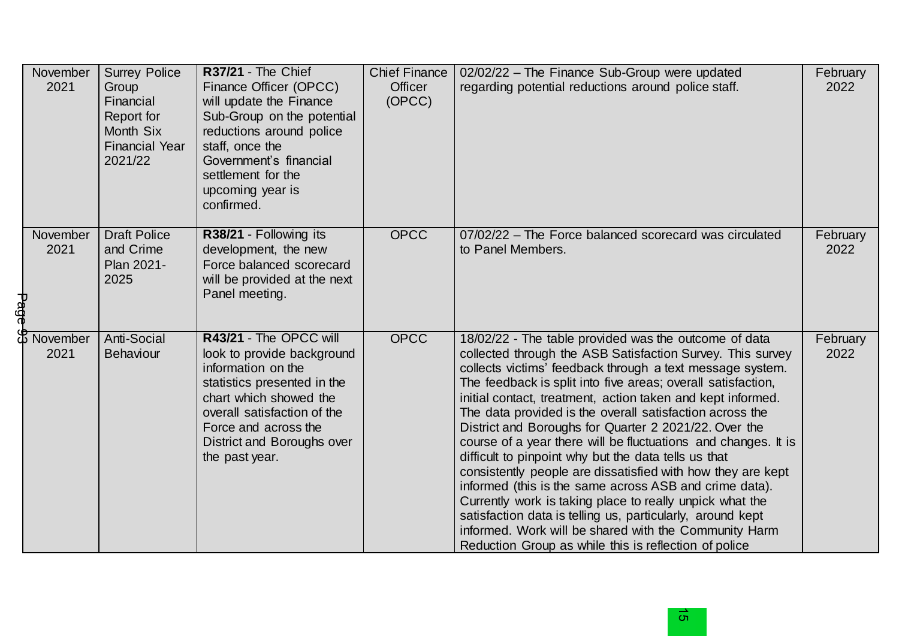|      | November<br>2021        | <b>Surrey Police</b><br>Group<br>Financial<br>Report for<br>Month Six<br><b>Financial Year</b><br>2021/22 | <b>R37/21 - The Chief</b><br>Finance Officer (OPCC)<br>will update the Finance<br>Sub-Group on the potential<br>reductions around police<br>staff, once the<br>Government's financial<br>settlement for the<br>upcoming year is<br>confirmed. | <b>Chief Finance</b><br>Officer<br>(OPCC) | 02/02/22 - The Finance Sub-Group were updated<br>regarding potential reductions around police staff.                                                                                                                                                                                                                                                                                                                                                                                                                                                                                                                                                                                                                                                                                                                                                                                                                                | February<br>2022 |
|------|-------------------------|-----------------------------------------------------------------------------------------------------------|-----------------------------------------------------------------------------------------------------------------------------------------------------------------------------------------------------------------------------------------------|-------------------------------------------|-------------------------------------------------------------------------------------------------------------------------------------------------------------------------------------------------------------------------------------------------------------------------------------------------------------------------------------------------------------------------------------------------------------------------------------------------------------------------------------------------------------------------------------------------------------------------------------------------------------------------------------------------------------------------------------------------------------------------------------------------------------------------------------------------------------------------------------------------------------------------------------------------------------------------------------|------------------|
| Page | <b>November</b><br>2021 | <b>Draft Police</b><br>and Crime<br>Plan 2021-<br>2025                                                    | R38/21 - Following its<br>development, the new<br>Force balanced scorecard<br>will be provided at the next<br>Panel meeting.                                                                                                                  | <b>OPCC</b>                               | 07/02/22 – The Force balanced scorecard was circulated<br>to Panel Members.                                                                                                                                                                                                                                                                                                                                                                                                                                                                                                                                                                                                                                                                                                                                                                                                                                                         | February<br>2022 |
|      | November<br>2021        | Anti-Social<br><b>Behaviour</b>                                                                           | R43/21 - The OPCC will<br>look to provide background<br>information on the<br>statistics presented in the<br>chart which showed the<br>overall satisfaction of the<br>Force and across the<br>District and Boroughs over<br>the past year.    | <b>OPCC</b>                               | 18/02/22 - The table provided was the outcome of data<br>collected through the ASB Satisfaction Survey. This survey<br>collects victims' feedback through a text message system.<br>The feedback is split into five areas; overall satisfaction,<br>initial contact, treatment, action taken and kept informed.<br>The data provided is the overall satisfaction across the<br>District and Boroughs for Quarter 2 2021/22. Over the<br>course of a year there will be fluctuations and changes. It is<br>difficult to pinpoint why but the data tells us that<br>consistently people are dissatisfied with how they are kept<br>informed (this is the same across ASB and crime data).<br>Currently work is taking place to really unpick what the<br>satisfaction data is telling us, particularly, around kept<br>informed. Work will be shared with the Community Harm<br>Reduction Group as while this is reflection of police | February<br>2022 |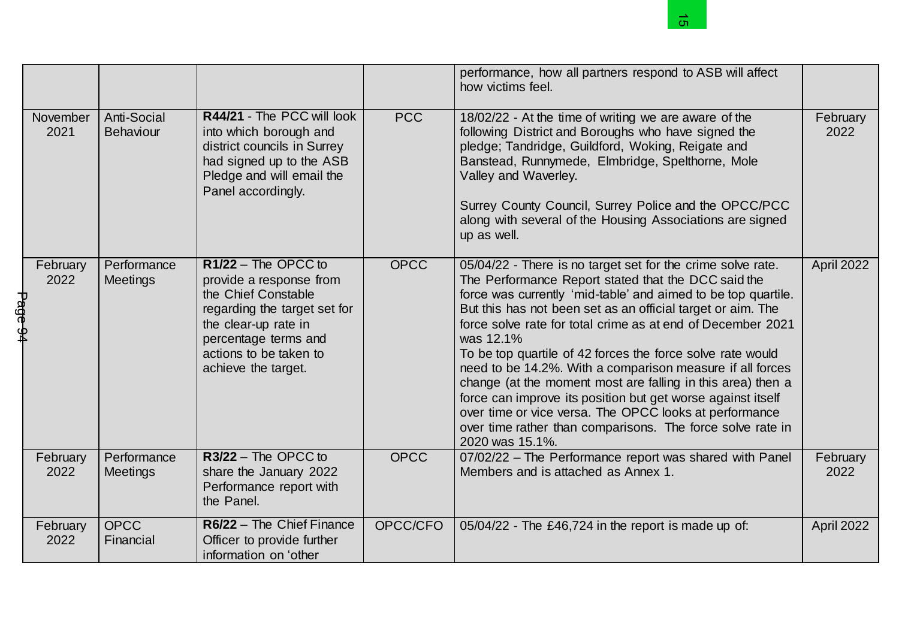|         |                  |                                 |                                                                                                                                                                                                          |             | <u>ဟ</u>                                                                                                                                                                                                                                                                                                                                                                                                                                                                                                                                                                                                                                                                                                                           |                  |
|---------|------------------|---------------------------------|----------------------------------------------------------------------------------------------------------------------------------------------------------------------------------------------------------|-------------|------------------------------------------------------------------------------------------------------------------------------------------------------------------------------------------------------------------------------------------------------------------------------------------------------------------------------------------------------------------------------------------------------------------------------------------------------------------------------------------------------------------------------------------------------------------------------------------------------------------------------------------------------------------------------------------------------------------------------------|------------------|
|         |                  |                                 |                                                                                                                                                                                                          |             | performance, how all partners respond to ASB will affect<br>how victims feel.                                                                                                                                                                                                                                                                                                                                                                                                                                                                                                                                                                                                                                                      |                  |
|         | November<br>2021 | Anti-Social<br><b>Behaviour</b> | R44/21 - The PCC will look<br>into which borough and<br>district councils in Surrey<br>had signed up to the ASB<br>Pledge and will email the<br>Panel accordingly.                                       | <b>PCC</b>  | 18/02/22 - At the time of writing we are aware of the<br>following District and Boroughs who have signed the<br>pledge; Tandridge, Guildford, Woking, Reigate and<br>Banstead, Runnymede, Elmbridge, Spelthorne, Mole<br>Valley and Waverley.<br>Surrey County Council, Surrey Police and the OPCC/PCC<br>along with several of the Housing Associations are signed<br>up as well.                                                                                                                                                                                                                                                                                                                                                 | February<br>2022 |
| Page 94 | February<br>2022 | Performance<br>Meetings         | $R1/22$ – The OPCC to<br>provide a response from<br>the Chief Constable<br>regarding the target set for<br>the clear-up rate in<br>percentage terms and<br>actions to be taken to<br>achieve the target. | <b>OPCC</b> | 05/04/22 - There is no target set for the crime solve rate.<br>The Performance Report stated that the DCC said the<br>force was currently 'mid-table' and aimed to be top quartile.<br>But this has not been set as an official target or aim. The<br>force solve rate for total crime as at end of December 2021<br>was 12.1%<br>To be top quartile of 42 forces the force solve rate would<br>need to be 14.2%. With a comparison measure if all forces<br>change (at the moment most are falling in this area) then a<br>force can improve its position but get worse against itself<br>over time or vice versa. The OPCC looks at performance<br>over time rather than comparisons. The force solve rate in<br>2020 was 15.1%. | April 2022       |
|         | February<br>2022 | Performance<br>Meetings         | $R3/22$ – The OPCC to<br>share the January 2022<br>Performance report with<br>the Panel.                                                                                                                 | <b>OPCC</b> | 07/02/22 - The Performance report was shared with Panel<br>Members and is attached as Annex 1.                                                                                                                                                                                                                                                                                                                                                                                                                                                                                                                                                                                                                                     | February<br>2022 |
|         | February<br>2022 | <b>OPCC</b><br>Financial        | R6/22 - The Chief Finance<br>Officer to provide further<br>information on 'other                                                                                                                         | OPCC/CFO    | 05/04/22 - The £46,724 in the report is made up of:                                                                                                                                                                                                                                                                                                                                                                                                                                                                                                                                                                                                                                                                                | April 2022       |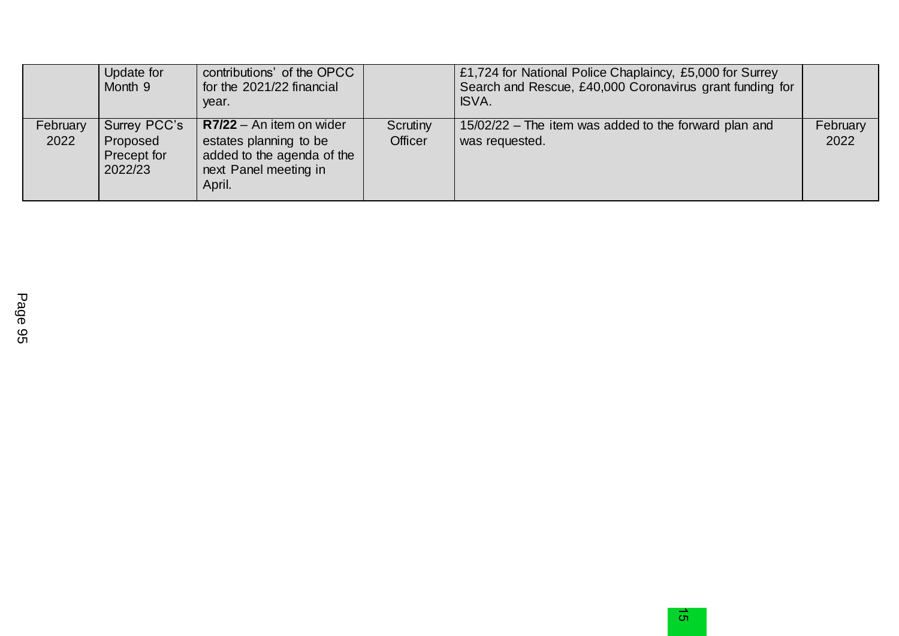|                  | Update for<br>Month 9                              | contributions' of the OPCC<br>for the 2021/22 financial<br>year.                                                      |                            | £1,724 for National Police Chaplaincy, £5,000 for Surrey<br>Search and Rescue, £40,000 Coronavirus grant funding for<br>ISVA. |                  |
|------------------|----------------------------------------------------|-----------------------------------------------------------------------------------------------------------------------|----------------------------|-------------------------------------------------------------------------------------------------------------------------------|------------------|
| February<br>2022 | Surrey PCC's<br>Proposed<br>Precept for<br>2022/23 | $R7/22 - An$ item on wider<br>estates planning to be<br>added to the agenda of the<br>next Panel meeting in<br>April. | Scrutiny<br><b>Officer</b> | 15/02/22 – The item was added to the forward plan and<br>was requested.                                                       | February<br>2022 |